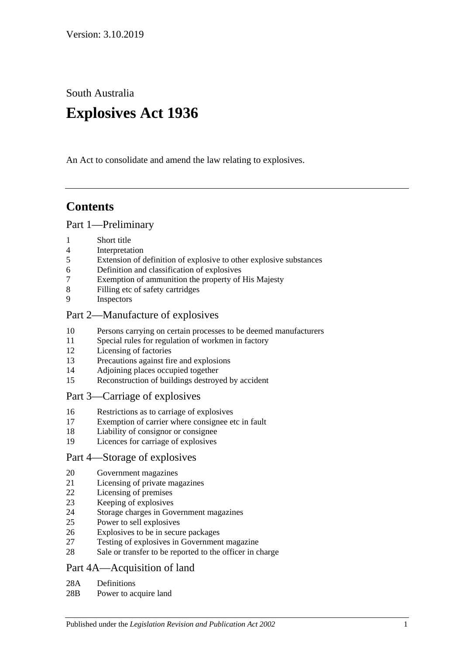South Australia

# **Explosives Act 1936**

An Act to consolidate and amend the law relating to explosives.

# **Contents**

#### [Part 1—Preliminary](#page-1-0)

- [Short title](#page-1-1)
- [Interpretation](#page-2-0)
- [Extension of definition of explosive to other explosive substances](#page-3-0)
- [Definition and classification of explosives](#page-3-1)
- [Exemption of ammunition the property of His Majesty](#page-3-2)
- [Filling etc of safety cartridges](#page-3-3)
- [Inspectors](#page-3-4)

#### [Part 2—Manufacture of explosives](#page-4-0)

- [Persons carrying on certain processes to be deemed manufacturers](#page-4-1)
- [Special rules for regulation of workmen in factory](#page-4-2)
- [Licensing of factories](#page-4-3)
- [Precautions against fire and explosions](#page-5-0)
- [Adjoining places occupied together](#page-5-1)
- [Reconstruction of buildings destroyed by accident](#page-5-2)

#### [Part 3—Carriage of explosives](#page-6-0)

- [Restrictions as to carriage of explosives](#page-6-1)
- [Exemption of carrier where consignee etc in fault](#page-6-2)
- [Liability of consignor or consignee](#page-6-3)
- [Licences for carriage of explosives](#page-6-4)

#### [Part 4—Storage of explosives](#page-7-0)

- [Government magazines](#page-7-1)
- [Licensing of private magazines](#page-7-2)
- [Licensing of premises](#page-7-3)
- [Keeping of explosives](#page-8-0)
- [Storage charges in Government magazines](#page-8-1)
- [Power to sell explosives](#page-9-0)
- [Explosives to be in secure packages](#page-9-1)
- [Testing of explosives in Government magazine](#page-9-2)
- [Sale or transfer to be reported to the officer in charge](#page-9-3)

# [Part 4A—Acquisition of land](#page-10-0)

- 28A [Definitions](#page-10-1)
- 28B [Power to acquire land](#page-10-2)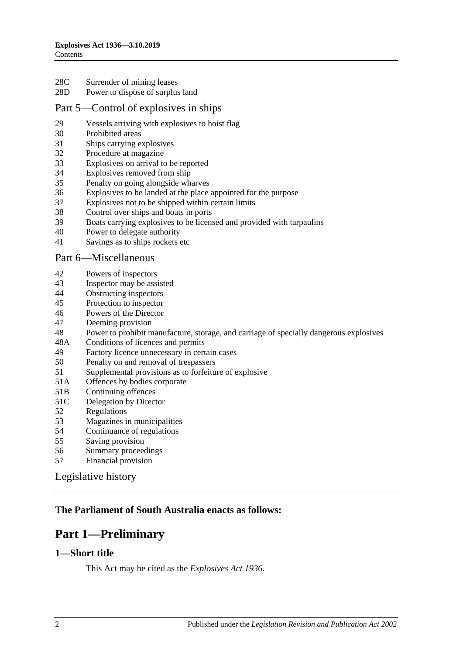- 28C [Surrender of mining leases](#page-10-3)
- 28D [Power to dispose of surplus land](#page-10-4)

#### [Part 5—Control of explosives in ships](#page-10-5)

- [Vessels arriving with explosives to hoist flag](#page-10-6)
- [Prohibited areas](#page-11-0)
- [Ships carrying explosives](#page-11-1)
- [Procedure at magazine](#page-11-2)
- [Explosives on arrival to be reported](#page-12-0)
- [Explosives removed from ship](#page-12-1)
- [Penalty on going alongside wharves](#page-12-2)
- [Explosives to be landed at the place appointed for the purpose](#page-13-0)
- [Explosives not to be shipped within certain limits](#page-13-1)
- [Control over ships and boats in ports](#page-13-2)
- [Boats carrying explosives to be licensed and provided with tarpaulins](#page-13-3)
- [Power to delegate authority](#page-14-0)
- [Savings as to ships rockets etc](#page-14-1)

#### [Part 6—Miscellaneous](#page-14-2)

- [Powers of inspectors](#page-14-3)
- [Inspector may be assisted](#page-15-0)
- [Obstructing inspectors](#page-15-1)<br>45 Protection to inspector
- [Protection to inspector](#page-15-2)
- [Powers of the Director](#page-15-3)
- [Deeming provision](#page-16-0)
- [Power to prohibit manufacture, storage, and carriage of specially dangerous explosives](#page-16-1)
- 48A [Conditions of licences and permits](#page-17-0)
- [Factory licence unnecessary in certain cases](#page-17-1)
- [Penalty on and removal of trespassers](#page-17-2)
- [Supplemental provisions as to forfeiture of explosive](#page-18-0)
- 51A [Offences by bodies corporate](#page-18-1)
- 51B [Continuing offences](#page-18-2)
- 51C [Delegation by Director](#page-18-3)
- [Regulations](#page-19-0)
- [Magazines in municipalities](#page-20-0)
- [Continuance of regulations](#page-20-1)
- [Saving provision](#page-20-2)
- [Summary proceedings](#page-20-3)
- [Financial provision](#page-20-4)

[Legislative history](#page-21-0)

### <span id="page-1-0"></span>**The Parliament of South Australia enacts as follows:**

# **Part 1—Preliminary**

#### <span id="page-1-1"></span>**1—Short title**

This Act may be cited as the *Explosives Act 1936*.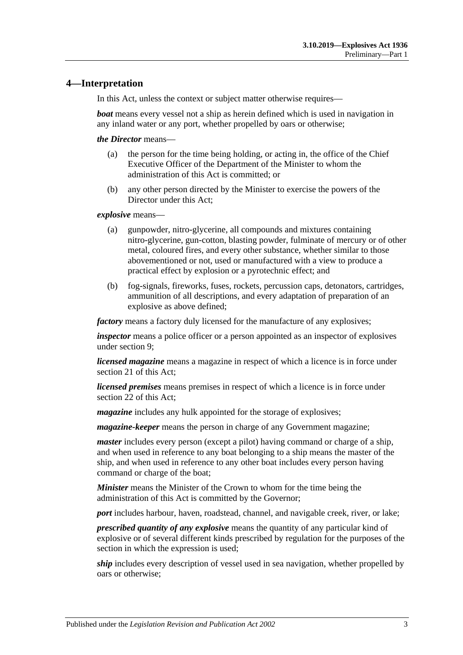### <span id="page-2-0"></span>**4—Interpretation**

In this Act, unless the context or subject matter otherwise requires—

*boat* means every vessel not a ship as herein defined which is used in navigation in any inland water or any port, whether propelled by oars or otherwise;

*the Director* means—

- (a) the person for the time being holding, or acting in, the office of the Chief Executive Officer of the Department of the Minister to whom the administration of this Act is committed; or
- (b) any other person directed by the Minister to exercise the powers of the Director under this Act;

*explosive* means—

- (a) gunpowder, nitro-glycerine, all compounds and mixtures containing nitro-glycerine, gun-cotton, blasting powder, fulminate of mercury or of other metal, coloured fires, and every other substance, whether similar to those abovementioned or not, used or manufactured with a view to produce a practical effect by explosion or a pyrotechnic effect; and
- (b) fog-signals, fireworks, fuses, rockets, percussion caps, detonators, cartridges, ammunition of all descriptions, and every adaptation of preparation of an explosive as above defined;

*factory* means a factory duly licensed for the manufacture of any explosives;

*inspector* means a police officer or a person appointed as an inspector of explosives under [section](#page-3-4) 9;

*licensed magazine* means a magazine in respect of which a licence is in force under [section](#page-7-2) 21 of this Act;

*licensed premises* means premises in respect of which a licence is in force under [section](#page-7-3) 22 of this Act;

*magazine* includes any hulk appointed for the storage of explosives;

*magazine-keeper* means the person in charge of any Government magazine;

*master* includes every person (except a pilot) having command or charge of a ship, and when used in reference to any boat belonging to a ship means the master of the ship, and when used in reference to any other boat includes every person having command or charge of the boat;

*Minister* means the Minister of the Crown to whom for the time being the administration of this Act is committed by the Governor;

*port* includes harbour, haven, roadstead, channel, and navigable creek, river, or lake;

*prescribed quantity of any explosive* means the quantity of any particular kind of explosive or of several different kinds prescribed by regulation for the purposes of the section in which the expression is used;

*ship* includes every description of vessel used in sea navigation, whether propelled by oars or otherwise;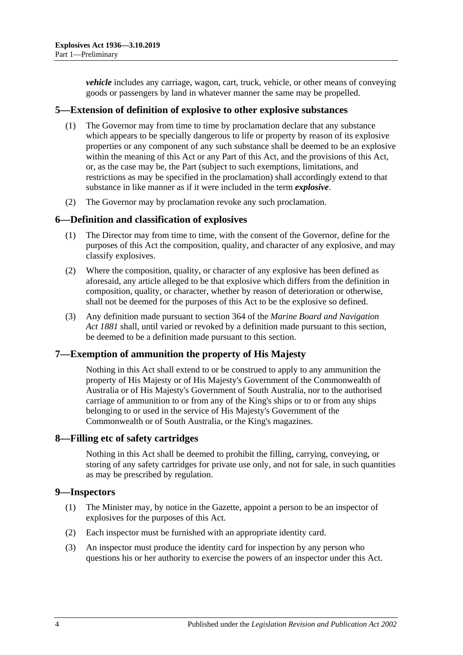*vehicle* includes any carriage, wagon, cart, truck, vehicle, or other means of conveying goods or passengers by land in whatever manner the same may be propelled.

#### <span id="page-3-0"></span>**5—Extension of definition of explosive to other explosive substances**

- (1) The Governor may from time to time by proclamation declare that any substance which appears to be specially dangerous to life or property by reason of its explosive properties or any component of any such substance shall be deemed to be an explosive within the meaning of this Act or any Part of this Act, and the provisions of this Act, or, as the case may be, the Part (subject to such exemptions, limitations, and restrictions as may be specified in the proclamation) shall accordingly extend to that substance in like manner as if it were included in the term *explosive*.
- (2) The Governor may by proclamation revoke any such proclamation.

#### <span id="page-3-1"></span>**6—Definition and classification of explosives**

- (1) The Director may from time to time, with the consent of the Governor, define for the purposes of this Act the composition, quality, and character of any explosive, and may classify explosives.
- (2) Where the composition, quality, or character of any explosive has been defined as aforesaid, any article alleged to be that explosive which differs from the definition in composition, quality, or character, whether by reason of deterioration or otherwise, shall not be deemed for the purposes of this Act to be the explosive so defined.
- (3) Any definition made pursuant to section 364 of the *[Marine Board and Navigation](http://www.legislation.sa.gov.au/index.aspx?action=legref&type=act&legtitle=Marine%20Board%20and%20Navigation%20Act%201881)  Act [1881](http://www.legislation.sa.gov.au/index.aspx?action=legref&type=act&legtitle=Marine%20Board%20and%20Navigation%20Act%201881)* shall, until varied or revoked by a definition made pursuant to this section, be deemed to be a definition made pursuant to this section.

#### <span id="page-3-2"></span>**7—Exemption of ammunition the property of His Majesty**

Nothing in this Act shall extend to or be construed to apply to any ammunition the property of His Majesty or of His Majesty's Government of the Commonwealth of Australia or of His Majesty's Government of South Australia, nor to the authorised carriage of ammunition to or from any of the King's ships or to or from any ships belonging to or used in the service of His Majesty's Government of the Commonwealth or of South Australia, or the King's magazines.

#### <span id="page-3-3"></span>**8—Filling etc of safety cartridges**

Nothing in this Act shall be deemed to prohibit the filling, carrying, conveying, or storing of any safety cartridges for private use only, and not for sale, in such quantities as may be prescribed by regulation.

# <span id="page-3-4"></span>**9—Inspectors**

- (1) The Minister may, by notice in the Gazette, appoint a person to be an inspector of explosives for the purposes of this Act.
- (2) Each inspector must be furnished with an appropriate identity card.
- (3) An inspector must produce the identity card for inspection by any person who questions his or her authority to exercise the powers of an inspector under this Act.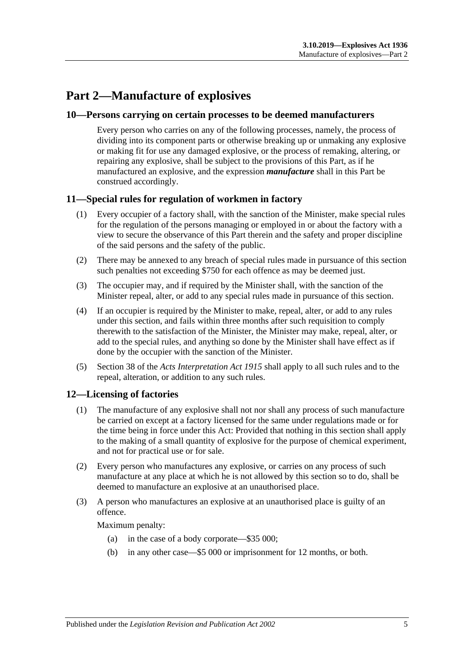# <span id="page-4-0"></span>**Part 2—Manufacture of explosives**

#### <span id="page-4-1"></span>**10—Persons carrying on certain processes to be deemed manufacturers**

Every person who carries on any of the following processes, namely, the process of dividing into its component parts or otherwise breaking up or unmaking any explosive or making fit for use any damaged explosive, or the process of remaking, altering, or repairing any explosive, shall be subject to the provisions of this Part, as if he manufactured an explosive, and the expression *manufacture* shall in this Part be construed accordingly.

#### <span id="page-4-2"></span>**11—Special rules for regulation of workmen in factory**

- (1) Every occupier of a factory shall, with the sanction of the Minister, make special rules for the regulation of the persons managing or employed in or about the factory with a view to secure the observance of this Part therein and the safety and proper discipline of the said persons and the safety of the public.
- (2) There may be annexed to any breach of special rules made in pursuance of this section such penalties not exceeding \$750 for each offence as may be deemed just.
- (3) The occupier may, and if required by the Minister shall, with the sanction of the Minister repeal, alter, or add to any special rules made in pursuance of this section.
- (4) If an occupier is required by the Minister to make, repeal, alter, or add to any rules under this section, and fails within three months after such requisition to comply therewith to the satisfaction of the Minister, the Minister may make, repeal, alter, or add to the special rules, and anything so done by the Minister shall have effect as if done by the occupier with the sanction of the Minister.
- (5) Section 38 of the *[Acts Interpretation Act](http://www.legislation.sa.gov.au/index.aspx?action=legref&type=act&legtitle=Acts%20Interpretation%20Act%201915) 1915* shall apply to all such rules and to the repeal, alteration, or addition to any such rules.

#### <span id="page-4-3"></span>**12—Licensing of factories**

- (1) The manufacture of any explosive shall not nor shall any process of such manufacture be carried on except at a factory licensed for the same under regulations made or for the time being in force under this Act: Provided that nothing in this section shall apply to the making of a small quantity of explosive for the purpose of chemical experiment, and not for practical use or for sale.
- (2) Every person who manufactures any explosive, or carries on any process of such manufacture at any place at which he is not allowed by this section so to do, shall be deemed to manufacture an explosive at an unauthorised place.
- (3) A person who manufactures an explosive at an unauthorised place is guilty of an offence.

Maximum penalty:

- (a) in the case of a body corporate—\$35 000;
- (b) in any other case—\$5 000 or imprisonment for 12 months, or both.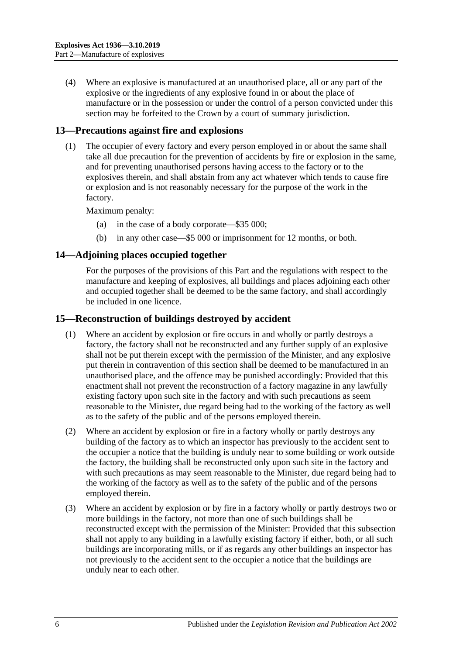(4) Where an explosive is manufactured at an unauthorised place, all or any part of the explosive or the ingredients of any explosive found in or about the place of manufacture or in the possession or under the control of a person convicted under this section may be forfeited to the Crown by a court of summary jurisdiction.

# <span id="page-5-0"></span>**13—Precautions against fire and explosions**

(1) The occupier of every factory and every person employed in or about the same shall take all due precaution for the prevention of accidents by fire or explosion in the same, and for preventing unauthorised persons having access to the factory or to the explosives therein, and shall abstain from any act whatever which tends to cause fire or explosion and is not reasonably necessary for the purpose of the work in the factory.

Maximum penalty:

- (a) in the case of a body corporate—\$35 000;
- (b) in any other case—\$5 000 or imprisonment for 12 months, or both.

# <span id="page-5-1"></span>**14—Adjoining places occupied together**

For the purposes of the provisions of this Part and the regulations with respect to the manufacture and keeping of explosives, all buildings and places adjoining each other and occupied together shall be deemed to be the same factory, and shall accordingly be included in one licence.

# <span id="page-5-2"></span>**15—Reconstruction of buildings destroyed by accident**

- (1) Where an accident by explosion or fire occurs in and wholly or partly destroys a factory, the factory shall not be reconstructed and any further supply of an explosive shall not be put therein except with the permission of the Minister, and any explosive put therein in contravention of this section shall be deemed to be manufactured in an unauthorised place, and the offence may be punished accordingly: Provided that this enactment shall not prevent the reconstruction of a factory magazine in any lawfully existing factory upon such site in the factory and with such precautions as seem reasonable to the Minister, due regard being had to the working of the factory as well as to the safety of the public and of the persons employed therein.
- (2) Where an accident by explosion or fire in a factory wholly or partly destroys any building of the factory as to which an inspector has previously to the accident sent to the occupier a notice that the building is unduly near to some building or work outside the factory, the building shall be reconstructed only upon such site in the factory and with such precautions as may seem reasonable to the Minister, due regard being had to the working of the factory as well as to the safety of the public and of the persons employed therein.
- (3) Where an accident by explosion or by fire in a factory wholly or partly destroys two or more buildings in the factory, not more than one of such buildings shall be reconstructed except with the permission of the Minister: Provided that this subsection shall not apply to any building in a lawfully existing factory if either, both, or all such buildings are incorporating mills, or if as regards any other buildings an inspector has not previously to the accident sent to the occupier a notice that the buildings are unduly near to each other.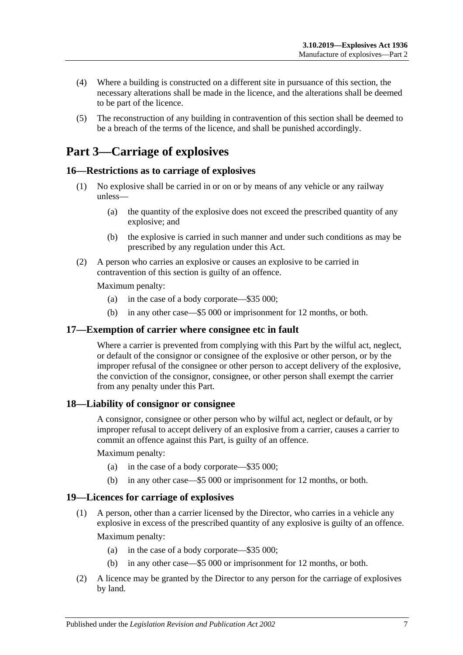- (4) Where a building is constructed on a different site in pursuance of this section, the necessary alterations shall be made in the licence, and the alterations shall be deemed to be part of the licence.
- (5) The reconstruction of any building in contravention of this section shall be deemed to be a breach of the terms of the licence, and shall be punished accordingly.

# <span id="page-6-0"></span>**Part 3—Carriage of explosives**

# <span id="page-6-1"></span>**16—Restrictions as to carriage of explosives**

- (1) No explosive shall be carried in or on or by means of any vehicle or any railway unless—
	- (a) the quantity of the explosive does not exceed the prescribed quantity of any explosive; and
	- (b) the explosive is carried in such manner and under such conditions as may be prescribed by any regulation under this Act.
- (2) A person who carries an explosive or causes an explosive to be carried in contravention of this section is guilty of an offence.

Maximum penalty:

- (a) in the case of a body corporate—\$35 000;
- (b) in any other case—\$5 000 or imprisonment for 12 months, or both.

#### <span id="page-6-2"></span>**17—Exemption of carrier where consignee etc in fault**

Where a carrier is prevented from complying with this Part by the wilful act, neglect, or default of the consignor or consignee of the explosive or other person, or by the improper refusal of the consignee or other person to accept delivery of the explosive, the conviction of the consignor, consignee, or other person shall exempt the carrier from any penalty under this Part.

#### <span id="page-6-3"></span>**18—Liability of consignor or consignee**

A consignor, consignee or other person who by wilful act, neglect or default, or by improper refusal to accept delivery of an explosive from a carrier, causes a carrier to commit an offence against this Part, is guilty of an offence.

Maximum penalty:

- (a) in the case of a body corporate—\$35 000;
- (b) in any other case—\$5 000 or imprisonment for 12 months, or both.

#### <span id="page-6-4"></span>**19—Licences for carriage of explosives**

(1) A person, other than a carrier licensed by the Director, who carries in a vehicle any explosive in excess of the prescribed quantity of any explosive is guilty of an offence.

Maximum penalty:

- (a) in the case of a body corporate—\$35 000;
- (b) in any other case—\$5 000 or imprisonment for 12 months, or both.
- (2) A licence may be granted by the Director to any person for the carriage of explosives by land.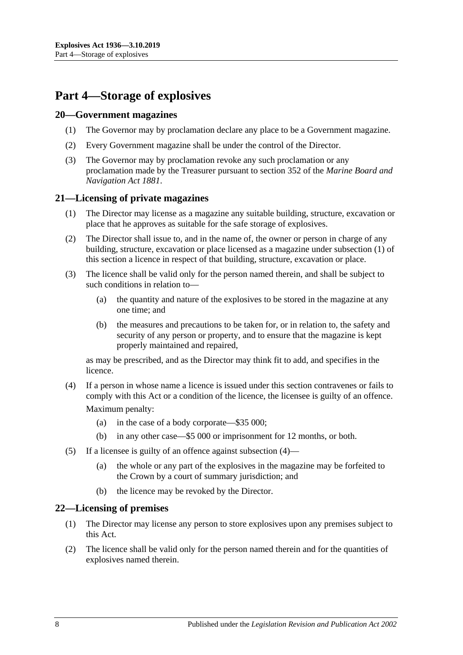# <span id="page-7-0"></span>**Part 4—Storage of explosives**

#### <span id="page-7-1"></span>**20—Government magazines**

- (1) The Governor may by proclamation declare any place to be a Government magazine.
- (2) Every Government magazine shall be under the control of the Director.
- (3) The Governor may by proclamation revoke any such proclamation or any proclamation made by the Treasurer pursuant to section 352 of the *[Marine Board and](http://www.legislation.sa.gov.au/index.aspx?action=legref&type=act&legtitle=Marine%20Board%20and%20Navigation%20Act%201881)  [Navigation Act](http://www.legislation.sa.gov.au/index.aspx?action=legref&type=act&legtitle=Marine%20Board%20and%20Navigation%20Act%201881) 1881*.

# <span id="page-7-4"></span><span id="page-7-2"></span>**21—Licensing of private magazines**

- (1) The Director may license as a magazine any suitable building, structure, excavation or place that he approves as suitable for the safe storage of explosives.
- (2) The Director shall issue to, and in the name of, the owner or person in charge of any building, structure, excavation or place licensed as a magazine under [subsection](#page-7-4) (1) of this section a licence in respect of that building, structure, excavation or place.
- (3) The licence shall be valid only for the person named therein, and shall be subject to such conditions in relation to—
	- (a) the quantity and nature of the explosives to be stored in the magazine at any one time; and
	- (b) the measures and precautions to be taken for, or in relation to, the safety and security of any person or property, and to ensure that the magazine is kept properly maintained and repaired,

as may be prescribed, and as the Director may think fit to add, and specifies in the licence.

- <span id="page-7-5"></span>(4) If a person in whose name a licence is issued under this section contravenes or fails to comply with this Act or a condition of the licence, the licensee is guilty of an offence. Maximum penalty:
	- (a) in the case of a body corporate—\$35 000;
	- (b) in any other case—\$5 000 or imprisonment for 12 months, or both.
- (5) If a licensee is guilty of an offence against [subsection](#page-7-5) (4)—
	- (a) the whole or any part of the explosives in the magazine may be forfeited to the Crown by a court of summary jurisdiction; and
	- (b) the licence may be revoked by the Director.

#### <span id="page-7-3"></span>**22—Licensing of premises**

- (1) The Director may license any person to store explosives upon any premises subject to this Act.
- (2) The licence shall be valid only for the person named therein and for the quantities of explosives named therein.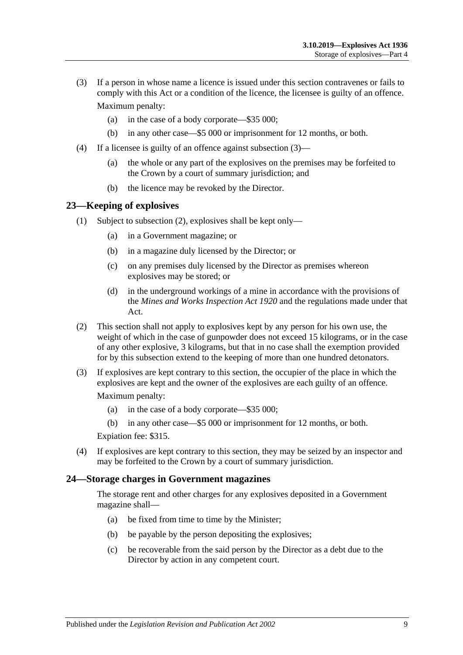- <span id="page-8-2"></span>(3) If a person in whose name a licence is issued under this section contravenes or fails to comply with this Act or a condition of the licence, the licensee is guilty of an offence. Maximum penalty:
	- (a) in the case of a body corporate—\$35 000;
	- (b) in any other case—\$5 000 or imprisonment for 12 months, or both.
- (4) If a licensee is guilty of an offence against [subsection](#page-8-2) (3)—
	- (a) the whole or any part of the explosives on the premises may be forfeited to the Crown by a court of summary jurisdiction; and
	- (b) the licence may be revoked by the Director.

#### <span id="page-8-0"></span>**23—Keeping of explosives**

- (1) Subject to [subsection](#page-8-3) (2), explosives shall be kept only—
	- (a) in a Government magazine; or
	- (b) in a magazine duly licensed by the Director; or
	- (c) on any premises duly licensed by the Director as premises whereon explosives may be stored; or
	- (d) in the underground workings of a mine in accordance with the provisions of the *[Mines and Works Inspection Act](http://www.legislation.sa.gov.au/index.aspx?action=legref&type=act&legtitle=Mines%20and%20Works%20Inspection%20Act%201920) 1920* and the regulations made under that Act.
- <span id="page-8-3"></span>(2) This section shall not apply to explosives kept by any person for his own use, the weight of which in the case of gunpowder does not exceed 15 kilograms, or in the case of any other explosive, 3 kilograms, but that in no case shall the exemption provided for by this subsection extend to the keeping of more than one hundred detonators.
- (3) If explosives are kept contrary to this section, the occupier of the place in which the explosives are kept and the owner of the explosives are each guilty of an offence.

Maximum penalty:

- (a) in the case of a body corporate—\$35 000;
- (b) in any other case—\$5 000 or imprisonment for 12 months, or both.

Expiation fee: \$315.

(4) If explosives are kept contrary to this section, they may be seized by an inspector and may be forfeited to the Crown by a court of summary jurisdiction.

#### <span id="page-8-1"></span>**24—Storage charges in Government magazines**

The storage rent and other charges for any explosives deposited in a Government magazine shall—

- (a) be fixed from time to time by the Minister;
- (b) be payable by the person depositing the explosives;
- (c) be recoverable from the said person by the Director as a debt due to the Director by action in any competent court.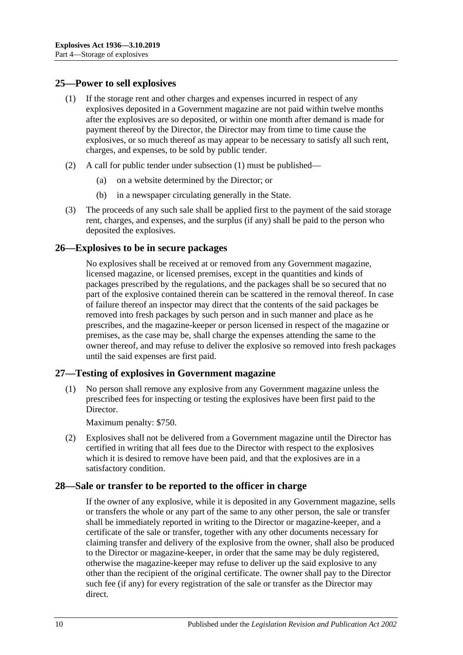#### <span id="page-9-4"></span><span id="page-9-0"></span>**25—Power to sell explosives**

- (1) If the storage rent and other charges and expenses incurred in respect of any explosives deposited in a Government magazine are not paid within twelve months after the explosives are so deposited, or within one month after demand is made for payment thereof by the Director, the Director may from time to time cause the explosives, or so much thereof as may appear to be necessary to satisfy all such rent, charges, and expenses, to be sold by public tender.
- (2) A call for public tender under [subsection](#page-9-4) (1) must be published—
	- (a) on a website determined by the Director; or
	- (b) in a newspaper circulating generally in the State.
- (3) The proceeds of any such sale shall be applied first to the payment of the said storage rent, charges, and expenses, and the surplus (if any) shall be paid to the person who deposited the explosives.

# <span id="page-9-1"></span>**26—Explosives to be in secure packages**

No explosives shall be received at or removed from any Government magazine, licensed magazine, or licensed premises, except in the quantities and kinds of packages prescribed by the regulations, and the packages shall be so secured that no part of the explosive contained therein can be scattered in the removal thereof. In case of failure thereof an inspector may direct that the contents of the said packages be removed into fresh packages by such person and in such manner and place as he prescribes, and the magazine-keeper or person licensed in respect of the magazine or premises, as the case may be, shall charge the expenses attending the same to the owner thereof, and may refuse to deliver the explosive so removed into fresh packages until the said expenses are first paid.

# <span id="page-9-2"></span>**27—Testing of explosives in Government magazine**

(1) No person shall remove any explosive from any Government magazine unless the prescribed fees for inspecting or testing the explosives have been first paid to the Director.

Maximum penalty: \$750.

(2) Explosives shall not be delivered from a Government magazine until the Director has certified in writing that all fees due to the Director with respect to the explosives which it is desired to remove have been paid, and that the explosives are in a satisfactory condition.

# <span id="page-9-3"></span>**28—Sale or transfer to be reported to the officer in charge**

If the owner of any explosive, while it is deposited in any Government magazine, sells or transfers the whole or any part of the same to any other person, the sale or transfer shall be immediately reported in writing to the Director or magazine-keeper, and a certificate of the sale or transfer, together with any other documents necessary for claiming transfer and delivery of the explosive from the owner, shall also be produced to the Director or magazine-keeper, in order that the same may be duly registered, otherwise the magazine-keeper may refuse to deliver up the said explosive to any other than the recipient of the original certificate. The owner shall pay to the Director such fee (if any) for every registration of the sale or transfer as the Director may direct.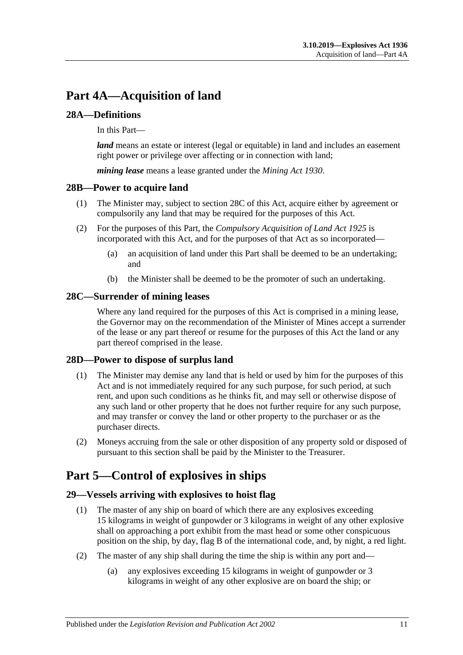# <span id="page-10-0"></span>**Part 4A—Acquisition of land**

# <span id="page-10-1"></span>**28A—Definitions**

In this Part—

*land* means an estate or interest (legal or equitable) in land and includes an easement right power or privilege over affecting or in connection with land;

*mining lease* means a lease granted under the *[Mining Act](http://www.legislation.sa.gov.au/index.aspx?action=legref&type=act&legtitle=Mining%20Act%201930) 1930*.

#### <span id="page-10-2"></span>**28B—Power to acquire land**

- (1) The Minister may, subject to [section](#page-10-3) 28C of this Act, acquire either by agreement or compulsorily any land that may be required for the purposes of this Act.
- (2) For the purposes of this Part, the *[Compulsory Acquisition of Land Act](http://www.legislation.sa.gov.au/index.aspx?action=legref&type=act&legtitle=Compulsory%20Acquisition%20of%20Land%20Act%201925) 1925* is incorporated with this Act, and for the purposes of that Act as so incorporated—
	- (a) an acquisition of land under this Part shall be deemed to be an undertaking; and
	- (b) the Minister shall be deemed to be the promoter of such an undertaking.

# <span id="page-10-3"></span>**28C—Surrender of mining leases**

Where any land required for the purposes of this Act is comprised in a mining lease, the Governor may on the recommendation of the Minister of Mines accept a surrender of the lease or any part thereof or resume for the purposes of this Act the land or any part thereof comprised in the lease.

#### <span id="page-10-4"></span>**28D—Power to dispose of surplus land**

- (1) The Minister may demise any land that is held or used by him for the purposes of this Act and is not immediately required for any such purpose, for such period, at such rent, and upon such conditions as he thinks fit, and may sell or otherwise dispose of any such land or other property that he does not further require for any such purpose, and may transfer or convey the land or other property to the purchaser or as the purchaser directs.
- (2) Moneys accruing from the sale or other disposition of any property sold or disposed of pursuant to this section shall be paid by the Minister to the Treasurer.

# <span id="page-10-5"></span>**Part 5—Control of explosives in ships**

#### <span id="page-10-6"></span>**29—Vessels arriving with explosives to hoist flag**

- (1) The master of any ship on board of which there are any explosives exceeding 15 kilograms in weight of gunpowder or 3 kilograms in weight of any other explosive shall on approaching a port exhibit from the mast head or some other conspicuous position on the ship, by day, flag B of the international code, and, by night, a red light.
- (2) The master of any ship shall during the time the ship is within any port and—
	- (a) any explosives exceeding 15 kilograms in weight of gunpowder or 3 kilograms in weight of any other explosive are on board the ship; or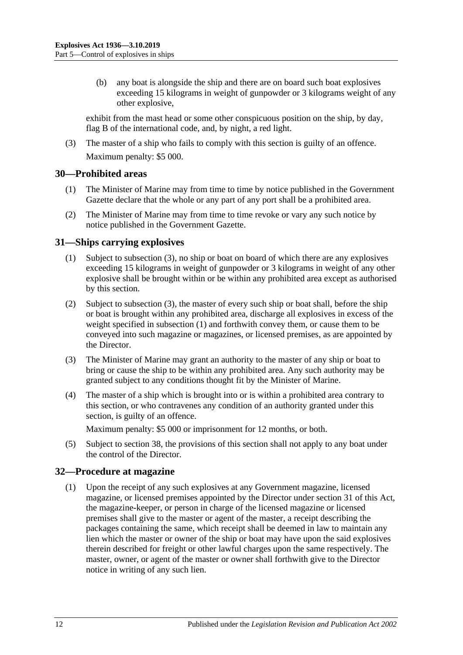(b) any boat is alongside the ship and there are on board such boat explosives exceeding 15 kilograms in weight of gunpowder or 3 kilograms weight of any other explosive,

exhibit from the mast head or some other conspicuous position on the ship, by day, flag B of the international code, and, by night, a red light.

(3) The master of a ship who fails to comply with this section is guilty of an offence. Maximum penalty: \$5 000.

#### <span id="page-11-0"></span>**30—Prohibited areas**

- (1) The Minister of Marine may from time to time by notice published in the Government Gazette declare that the whole or any part of any port shall be a prohibited area.
- (2) The Minister of Marine may from time to time revoke or vary any such notice by notice published in the Government Gazette.

#### <span id="page-11-4"></span><span id="page-11-1"></span>**31—Ships carrying explosives**

- (1) Subject to [subsection](#page-11-3) (3), no ship or boat on board of which there are any explosives exceeding 15 kilograms in weight of gunpowder or 3 kilograms in weight of any other explosive shall be brought within or be within any prohibited area except as authorised by this section.
- (2) Subject to [subsection](#page-11-3) (3), the master of every such ship or boat shall, before the ship or boat is brought within any prohibited area, discharge all explosives in excess of the weight specified in [subsection](#page-11-4) (1) and forthwith convey them, or cause them to be conveyed into such magazine or magazines, or licensed premises, as are appointed by the Director.
- <span id="page-11-3"></span>(3) The Minister of Marine may grant an authority to the master of any ship or boat to bring or cause the ship to be within any prohibited area. Any such authority may be granted subject to any conditions thought fit by the Minister of Marine.
- (4) The master of a ship which is brought into or is within a prohibited area contrary to this section, or who contravenes any condition of an authority granted under this section, is guilty of an offence.

Maximum penalty: \$5 000 or imprisonment for 12 months, or both.

(5) Subject to [section](#page-13-2) 38, the provisions of this section shall not apply to any boat under the control of the Director.

#### <span id="page-11-2"></span>**32—Procedure at magazine**

(1) Upon the receipt of any such explosives at any Government magazine, licensed magazine, or licensed premises appointed by the Director under [section](#page-11-1) 31 of this Act, the magazine-keeper, or person in charge of the licensed magazine or licensed premises shall give to the master or agent of the master, a receipt describing the packages containing the same, which receipt shall be deemed in law to maintain any lien which the master or owner of the ship or boat may have upon the said explosives therein described for freight or other lawful charges upon the same respectively. The master, owner, or agent of the master or owner shall forthwith give to the Director notice in writing of any such lien.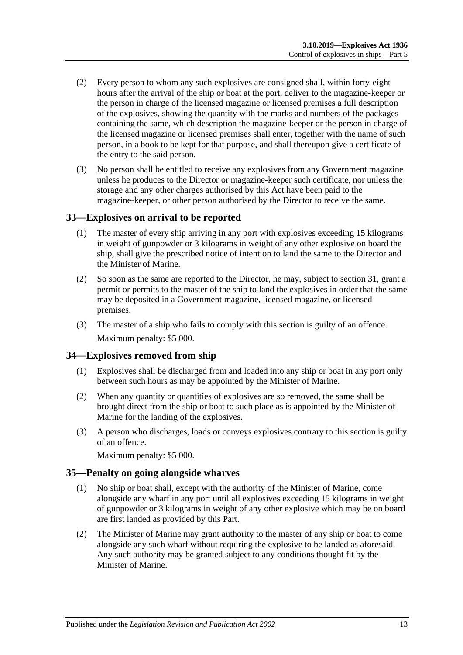- (2) Every person to whom any such explosives are consigned shall, within forty-eight hours after the arrival of the ship or boat at the port, deliver to the magazine-keeper or the person in charge of the licensed magazine or licensed premises a full description of the explosives, showing the quantity with the marks and numbers of the packages containing the same, which description the magazine-keeper or the person in charge of the licensed magazine or licensed premises shall enter, together with the name of such person, in a book to be kept for that purpose, and shall thereupon give a certificate of the entry to the said person.
- (3) No person shall be entitled to receive any explosives from any Government magazine unless he produces to the Director or magazine-keeper such certificate, nor unless the storage and any other charges authorised by this Act have been paid to the magazine-keeper, or other person authorised by the Director to receive the same.

#### <span id="page-12-0"></span>**33—Explosives on arrival to be reported**

- (1) The master of every ship arriving in any port with explosives exceeding 15 kilograms in weight of gunpowder or 3 kilograms in weight of any other explosive on board the ship, shall give the prescribed notice of intention to land the same to the Director and the Minister of Marine.
- (2) So soon as the same are reported to the Director, he may, subject to [section](#page-11-1) 31, grant a permit or permits to the master of the ship to land the explosives in order that the same may be deposited in a Government magazine, licensed magazine, or licensed premises.
- (3) The master of a ship who fails to comply with this section is guilty of an offence. Maximum penalty: \$5 000.

#### <span id="page-12-1"></span>**34—Explosives removed from ship**

- (1) Explosives shall be discharged from and loaded into any ship or boat in any port only between such hours as may be appointed by the Minister of Marine.
- (2) When any quantity or quantities of explosives are so removed, the same shall be brought direct from the ship or boat to such place as is appointed by the Minister of Marine for the landing of the explosives.
- (3) A person who discharges, loads or conveys explosives contrary to this section is guilty of an offence.

Maximum penalty: \$5 000.

#### <span id="page-12-2"></span>**35—Penalty on going alongside wharves**

- (1) No ship or boat shall, except with the authority of the Minister of Marine, come alongside any wharf in any port until all explosives exceeding 15 kilograms in weight of gunpowder or 3 kilograms in weight of any other explosive which may be on board are first landed as provided by this Part.
- (2) The Minister of Marine may grant authority to the master of any ship or boat to come alongside any such wharf without requiring the explosive to be landed as aforesaid. Any such authority may be granted subject to any conditions thought fit by the Minister of Marine.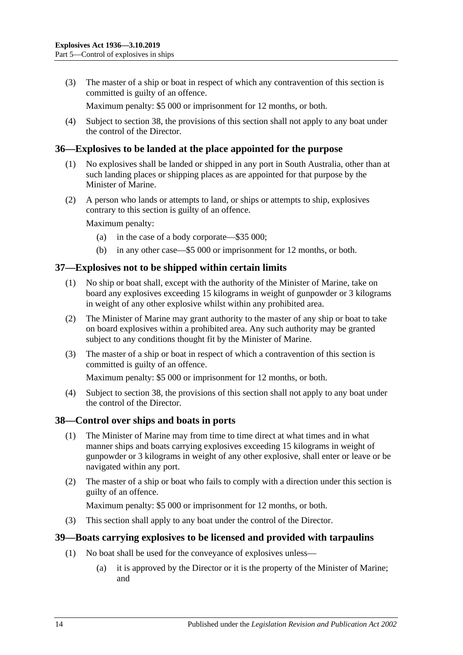(3) The master of a ship or boat in respect of which any contravention of this section is committed is guilty of an offence.

Maximum penalty: \$5 000 or imprisonment for 12 months, or both.

(4) Subject to [section](#page-13-2) 38, the provisions of this section shall not apply to any boat under the control of the Director.

#### <span id="page-13-0"></span>**36—Explosives to be landed at the place appointed for the purpose**

- (1) No explosives shall be landed or shipped in any port in South Australia, other than at such landing places or shipping places as are appointed for that purpose by the Minister of Marine.
- (2) A person who lands or attempts to land, or ships or attempts to ship, explosives contrary to this section is guilty of an offence.

Maximum penalty:

- (a) in the case of a body corporate—\$35 000;
- (b) in any other case—\$5 000 or imprisonment for 12 months, or both.

#### <span id="page-13-1"></span>**37—Explosives not to be shipped within certain limits**

- (1) No ship or boat shall, except with the authority of the Minister of Marine, take on board any explosives exceeding 15 kilograms in weight of gunpowder or 3 kilograms in weight of any other explosive whilst within any prohibited area.
- (2) The Minister of Marine may grant authority to the master of any ship or boat to take on board explosives within a prohibited area. Any such authority may be granted subject to any conditions thought fit by the Minister of Marine.
- (3) The master of a ship or boat in respect of which a contravention of this section is committed is guilty of an offence.

Maximum penalty: \$5 000 or imprisonment for 12 months, or both.

(4) Subject to [section](#page-13-2) 38, the provisions of this section shall not apply to any boat under the control of the Director.

#### <span id="page-13-2"></span>**38—Control over ships and boats in ports**

- (1) The Minister of Marine may from time to time direct at what times and in what manner ships and boats carrying explosives exceeding 15 kilograms in weight of gunpowder or 3 kilograms in weight of any other explosive, shall enter or leave or be navigated within any port.
- (2) The master of a ship or boat who fails to comply with a direction under this section is guilty of an offence.

Maximum penalty: \$5 000 or imprisonment for 12 months, or both.

(3) This section shall apply to any boat under the control of the Director.

#### <span id="page-13-4"></span><span id="page-13-3"></span>**39—Boats carrying explosives to be licensed and provided with tarpaulins**

- (1) No boat shall be used for the conveyance of explosives unless—
	- (a) it is approved by the Director or it is the property of the Minister of Marine; and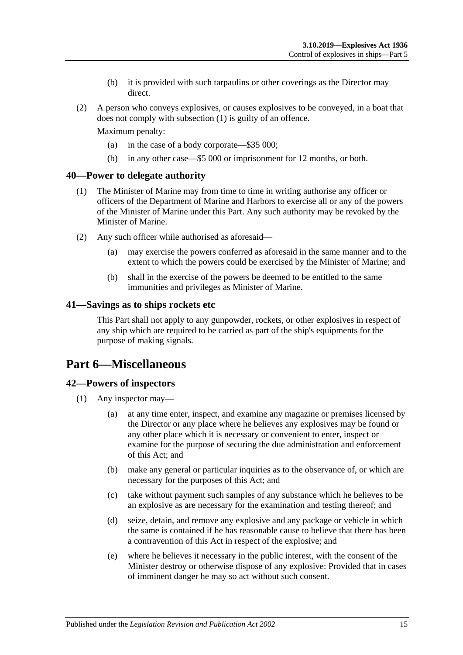- (b) it is provided with such tarpaulins or other coverings as the Director may direct.
- (2) A person who conveys explosives, or causes explosives to be conveyed, in a boat that does not comply with [subsection](#page-13-4) (1) is guilty of an offence.

Maximum penalty:

- (a) in the case of a body corporate—\$35 000;
- (b) in any other case—\$5 000 or imprisonment for 12 months, or both.

#### <span id="page-14-0"></span>**40—Power to delegate authority**

- (1) The Minister of Marine may from time to time in writing authorise any officer or officers of the Department of Marine and Harbors to exercise all or any of the powers of the Minister of Marine under this Part. Any such authority may be revoked by the Minister of Marine.
- (2) Any such officer while authorised as aforesaid—
	- (a) may exercise the powers conferred as aforesaid in the same manner and to the extent to which the powers could be exercised by the Minister of Marine; and
	- (b) shall in the exercise of the powers be deemed to be entitled to the same immunities and privileges as Minister of Marine.

#### <span id="page-14-1"></span>**41—Savings as to ships rockets etc**

This Part shall not apply to any gunpowder, rockets, or other explosives in respect of any ship which are required to be carried as part of the ship's equipments for the purpose of making signals.

# <span id="page-14-2"></span>**Part 6—Miscellaneous**

#### <span id="page-14-5"></span><span id="page-14-3"></span>**42—Powers of inspectors**

- <span id="page-14-4"></span>(1) Any inspector may—
	- (a) at any time enter, inspect, and examine any magazine or premises licensed by the Director or any place where he believes any explosives may be found or any other place which it is necessary or convenient to enter, inspect or examine for the purpose of securing the due administration and enforcement of this Act; and
	- (b) make any general or particular inquiries as to the observance of, or which are necessary for the purposes of this Act; and
	- (c) take without payment such samples of any substance which he believes to be an explosive as are necessary for the examination and testing thereof; and
	- (d) seize, detain, and remove any explosive and any package or vehicle in which the same is contained if he has reasonable cause to believe that there has been a contravention of this Act in respect of the explosive; and
	- (e) where he believes it necessary in the public interest, with the consent of the Minister destroy or otherwise dispose of any explosive: Provided that in cases of imminent danger he may so act without such consent.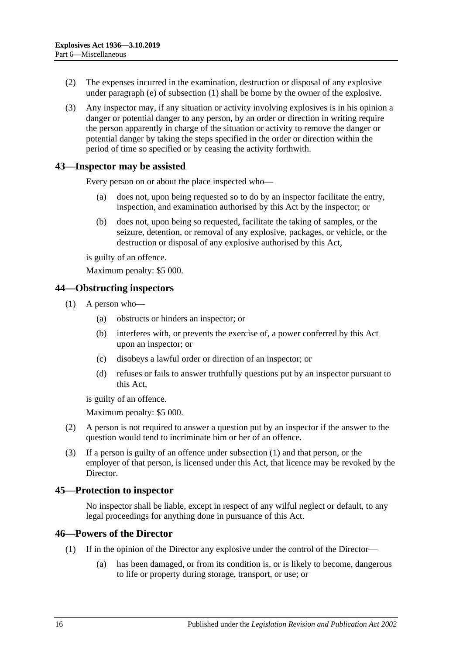- (2) The expenses incurred in the examination, destruction or disposal of any explosive under [paragraph](#page-14-4) (e) of [subsection](#page-14-5) (1) shall be borne by the owner of the explosive.
- (3) Any inspector may, if any situation or activity involving explosives is in his opinion a danger or potential danger to any person, by an order or direction in writing require the person apparently in charge of the situation or activity to remove the danger or potential danger by taking the steps specified in the order or direction within the period of time so specified or by ceasing the activity forthwith.

#### <span id="page-15-0"></span>**43—Inspector may be assisted**

Every person on or about the place inspected who—

- (a) does not, upon being requested so to do by an inspector facilitate the entry, inspection, and examination authorised by this Act by the inspector; or
- (b) does not, upon being so requested, facilitate the taking of samples, or the seizure, detention, or removal of any explosive, packages, or vehicle, or the destruction or disposal of any explosive authorised by this Act,

is guilty of an offence.

Maximum penalty: \$5 000.

#### <span id="page-15-4"></span><span id="page-15-1"></span>**44—Obstructing inspectors**

- (1) A person who—
	- (a) obstructs or hinders an inspector; or
	- (b) interferes with, or prevents the exercise of, a power conferred by this Act upon an inspector; or
	- (c) disobeys a lawful order or direction of an inspector; or
	- (d) refuses or fails to answer truthfully questions put by an inspector pursuant to this Act,

is guilty of an offence.

Maximum penalty: \$5 000.

- (2) A person is not required to answer a question put by an inspector if the answer to the question would tend to incriminate him or her of an offence.
- (3) If a person is guilty of an offence under [subsection](#page-15-4) (1) and that person, or the employer of that person, is licensed under this Act, that licence may be revoked by the Director.

#### <span id="page-15-2"></span>**45—Protection to inspector**

No inspector shall be liable, except in respect of any wilful neglect or default, to any legal proceedings for anything done in pursuance of this Act.

#### <span id="page-15-3"></span>**46—Powers of the Director**

- (1) If in the opinion of the Director any explosive under the control of the Director—
	- (a) has been damaged, or from its condition is, or is likely to become, dangerous to life or property during storage, transport, or use; or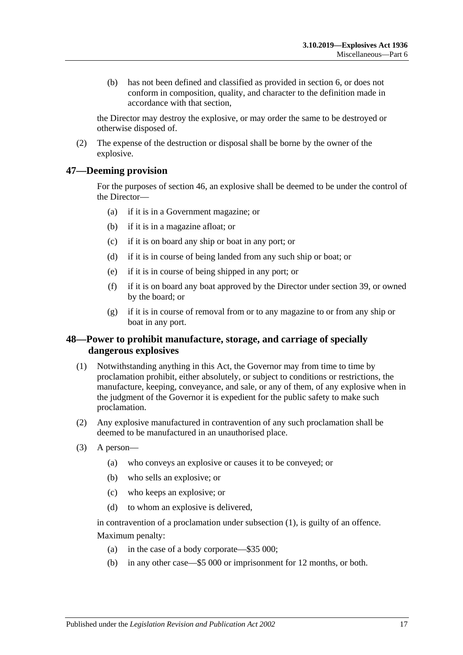(b) has not been defined and classified as provided in [section](#page-3-1) 6, or does not conform in composition, quality, and character to the definition made in accordance with that section,

the Director may destroy the explosive, or may order the same to be destroyed or otherwise disposed of.

(2) The expense of the destruction or disposal shall be borne by the owner of the explosive.

#### <span id="page-16-0"></span>**47—Deeming provision**

For the purposes of [section](#page-15-3) 46, an explosive shall be deemed to be under the control of the Director—

- (a) if it is in a Government magazine; or
- (b) if it is in a magazine afloat; or
- (c) if it is on board any ship or boat in any port; or
- (d) if it is in course of being landed from any such ship or boat; or
- (e) if it is in course of being shipped in any port; or
- (f) if it is on board any boat approved by the Director under [section](#page-13-3) 39, or owned by the board; or
- (g) if it is in course of removal from or to any magazine to or from any ship or boat in any port.

#### <span id="page-16-1"></span>**48—Power to prohibit manufacture, storage, and carriage of specially dangerous explosives**

- <span id="page-16-2"></span>(1) Notwithstanding anything in this Act, the Governor may from time to time by proclamation prohibit, either absolutely, or subject to conditions or restrictions, the manufacture, keeping, conveyance, and sale, or any of them, of any explosive when in the judgment of the Governor it is expedient for the public safety to make such proclamation.
- (2) Any explosive manufactured in contravention of any such proclamation shall be deemed to be manufactured in an unauthorised place.
- (3) A person—
	- (a) who conveys an explosive or causes it to be conveyed; or
	- (b) who sells an explosive; or
	- (c) who keeps an explosive; or
	- (d) to whom an explosive is delivered,

in contravention of a proclamation under [subsection](#page-16-2) (1), is guilty of an offence. Maximum penalty:

- (a) in the case of a body corporate—\$35 000;
- (b) in any other case—\$5 000 or imprisonment for 12 months, or both.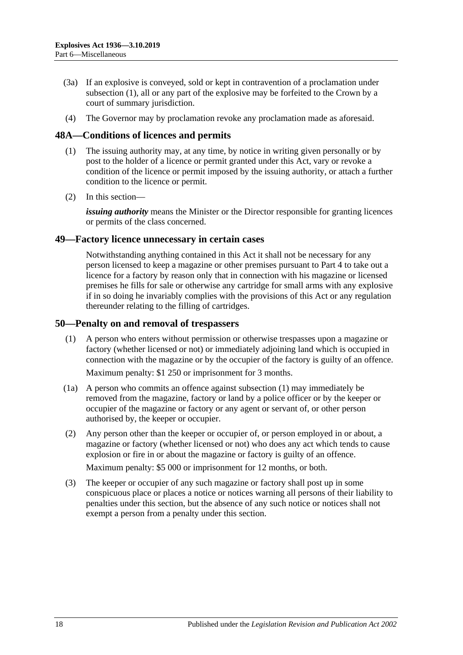- (3a) If an explosive is conveyed, sold or kept in contravention of a proclamation under [subsection](#page-16-2) (1), all or any part of the explosive may be forfeited to the Crown by a court of summary jurisdiction.
- (4) The Governor may by proclamation revoke any proclamation made as aforesaid.

#### <span id="page-17-0"></span>**48A—Conditions of licences and permits**

- (1) The issuing authority may, at any time, by notice in writing given personally or by post to the holder of a licence or permit granted under this Act, vary or revoke a condition of the licence or permit imposed by the issuing authority, or attach a further condition to the licence or permit.
- (2) In this section—

*issuing authority* means the Minister or the Director responsible for granting licences or permits of the class concerned.

#### <span id="page-17-1"></span>**49—Factory licence unnecessary in certain cases**

Notwithstanding anything contained in this Act it shall not be necessary for any person licensed to keep a magazine or other premises pursuant to [Part 4](#page-7-0) to take out a licence for a factory by reason only that in connection with his magazine or licensed premises he fills for sale or otherwise any cartridge for small arms with any explosive if in so doing he invariably complies with the provisions of this Act or any regulation thereunder relating to the filling of cartridges.

#### <span id="page-17-3"></span><span id="page-17-2"></span>**50—Penalty on and removal of trespassers**

(1) A person who enters without permission or otherwise trespasses upon a magazine or factory (whether licensed or not) or immediately adjoining land which is occupied in connection with the magazine or by the occupier of the factory is guilty of an offence.

Maximum penalty: \$1 250 or imprisonment for 3 months.

- (1a) A person who commits an offence against [subsection](#page-17-3) (1) may immediately be removed from the magazine, factory or land by a police officer or by the keeper or occupier of the magazine or factory or any agent or servant of, or other person authorised by, the keeper or occupier.
- (2) Any person other than the keeper or occupier of, or person employed in or about, a magazine or factory (whether licensed or not) who does any act which tends to cause explosion or fire in or about the magazine or factory is guilty of an offence.

Maximum penalty: \$5 000 or imprisonment for 12 months, or both.

(3) The keeper or occupier of any such magazine or factory shall post up in some conspicuous place or places a notice or notices warning all persons of their liability to penalties under this section, but the absence of any such notice or notices shall not exempt a person from a penalty under this section.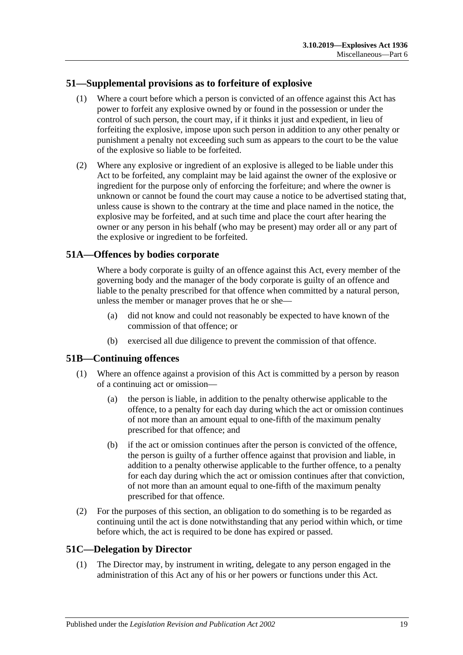# <span id="page-18-0"></span>**51—Supplemental provisions as to forfeiture of explosive**

- (1) Where a court before which a person is convicted of an offence against this Act has power to forfeit any explosive owned by or found in the possession or under the control of such person, the court may, if it thinks it just and expedient, in lieu of forfeiting the explosive, impose upon such person in addition to any other penalty or punishment a penalty not exceeding such sum as appears to the court to be the value of the explosive so liable to be forfeited.
- (2) Where any explosive or ingredient of an explosive is alleged to be liable under this Act to be forfeited, any complaint may be laid against the owner of the explosive or ingredient for the purpose only of enforcing the forfeiture; and where the owner is unknown or cannot be found the court may cause a notice to be advertised stating that, unless cause is shown to the contrary at the time and place named in the notice, the explosive may be forfeited, and at such time and place the court after hearing the owner or any person in his behalf (who may be present) may order all or any part of the explosive or ingredient to be forfeited.

# <span id="page-18-1"></span>**51A—Offences by bodies corporate**

Where a body corporate is guilty of an offence against this Act, every member of the governing body and the manager of the body corporate is guilty of an offence and liable to the penalty prescribed for that offence when committed by a natural person, unless the member or manager proves that he or she—

- (a) did not know and could not reasonably be expected to have known of the commission of that offence; or
- (b) exercised all due diligence to prevent the commission of that offence.

#### <span id="page-18-2"></span>**51B—Continuing offences**

- (1) Where an offence against a provision of this Act is committed by a person by reason of a continuing act or omission—
	- (a) the person is liable, in addition to the penalty otherwise applicable to the offence, to a penalty for each day during which the act or omission continues of not more than an amount equal to one-fifth of the maximum penalty prescribed for that offence; and
	- (b) if the act or omission continues after the person is convicted of the offence, the person is guilty of a further offence against that provision and liable, in addition to a penalty otherwise applicable to the further offence, to a penalty for each day during which the act or omission continues after that conviction, of not more than an amount equal to one-fifth of the maximum penalty prescribed for that offence.
- (2) For the purposes of this section, an obligation to do something is to be regarded as continuing until the act is done notwithstanding that any period within which, or time before which, the act is required to be done has expired or passed.

# <span id="page-18-4"></span><span id="page-18-3"></span>**51C—Delegation by Director**

(1) The Director may, by instrument in writing, delegate to any person engaged in the administration of this Act any of his or her powers or functions under this Act.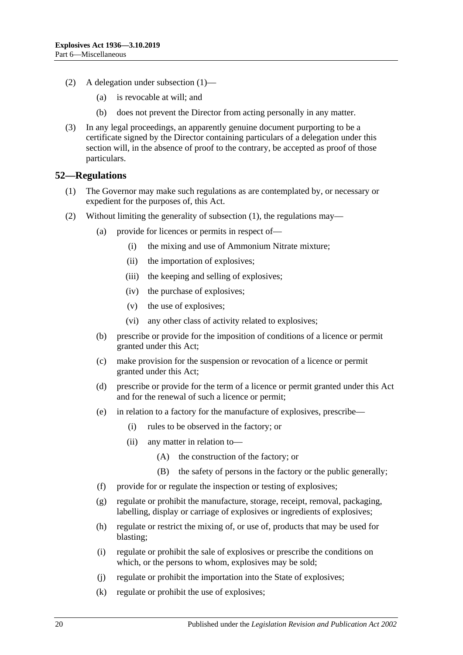- (2) A delegation under [subsection](#page-18-4) (1)—
	- (a) is revocable at will; and
	- (b) does not prevent the Director from acting personally in any matter.
- (3) In any legal proceedings, an apparently genuine document purporting to be a certificate signed by the Director containing particulars of a delegation under this section will, in the absence of proof to the contrary, be accepted as proof of those particulars.

#### <span id="page-19-1"></span><span id="page-19-0"></span>**52—Regulations**

- (1) The Governor may make such regulations as are contemplated by, or necessary or expedient for the purposes of, this Act.
- (2) Without limiting the generality of [subsection](#page-19-1) (1), the regulations may—
	- (a) provide for licences or permits in respect of—
		- (i) the mixing and use of Ammonium Nitrate mixture;
		- (ii) the importation of explosives;
		- (iii) the keeping and selling of explosives;
		- (iv) the purchase of explosives;
		- (v) the use of explosives;
		- (vi) any other class of activity related to explosives;
	- (b) prescribe or provide for the imposition of conditions of a licence or permit granted under this Act;
	- (c) make provision for the suspension or revocation of a licence or permit granted under this Act;
	- (d) prescribe or provide for the term of a licence or permit granted under this Act and for the renewal of such a licence or permit;
	- (e) in relation to a factory for the manufacture of explosives, prescribe—
		- (i) rules to be observed in the factory; or
		- (ii) any matter in relation to—
			- (A) the construction of the factory; or
			- (B) the safety of persons in the factory or the public generally;
	- (f) provide for or regulate the inspection or testing of explosives;
	- (g) regulate or prohibit the manufacture, storage, receipt, removal, packaging, labelling, display or carriage of explosives or ingredients of explosives;
	- (h) regulate or restrict the mixing of, or use of, products that may be used for blasting;
	- (i) regulate or prohibit the sale of explosives or prescribe the conditions on which, or the persons to whom, explosives may be sold;
	- (j) regulate or prohibit the importation into the State of explosives;
	- (k) regulate or prohibit the use of explosives;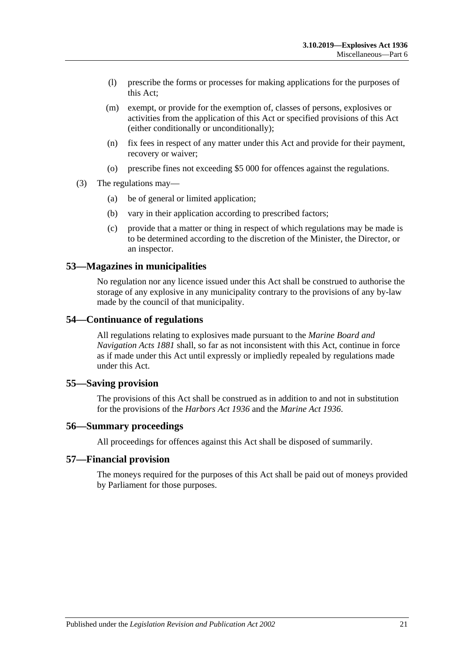- (l) prescribe the forms or processes for making applications for the purposes of this Act;
- (m) exempt, or provide for the exemption of, classes of persons, explosives or activities from the application of this Act or specified provisions of this Act (either conditionally or unconditionally);
- (n) fix fees in respect of any matter under this Act and provide for their payment, recovery or waiver;
- (o) prescribe fines not exceeding \$5 000 for offences against the regulations.
- (3) The regulations may—
	- (a) be of general or limited application;
	- (b) vary in their application according to prescribed factors;
	- (c) provide that a matter or thing in respect of which regulations may be made is to be determined according to the discretion of the Minister, the Director, or an inspector.

#### <span id="page-20-0"></span>**53—Magazines in municipalities**

No regulation nor any licence issued under this Act shall be construed to authorise the storage of any explosive in any municipality contrary to the provisions of any by-law made by the council of that municipality.

#### <span id="page-20-1"></span>**54—Continuance of regulations**

All regulations relating to explosives made pursuant to the *[Marine Board and](http://www.legislation.sa.gov.au/index.aspx?action=legref&type=act&legtitle=Marine%20Board%20and%20Navigation%20Acts%201881)  [Navigation Acts](http://www.legislation.sa.gov.au/index.aspx?action=legref&type=act&legtitle=Marine%20Board%20and%20Navigation%20Acts%201881) 1881* shall, so far as not inconsistent with this Act, continue in force as if made under this Act until expressly or impliedly repealed by regulations made under this Act.

#### <span id="page-20-2"></span>**55—Saving provision**

The provisions of this Act shall be construed as in addition to and not in substitution for the provisions of the *[Harbors Act](http://www.legislation.sa.gov.au/index.aspx?action=legref&type=act&legtitle=Harbors%20Act%201936) 1936* and the *[Marine Act](http://www.legislation.sa.gov.au/index.aspx?action=legref&type=act&legtitle=Marine%20Act%201936) 1936*.

#### <span id="page-20-3"></span>**56—Summary proceedings**

All proceedings for offences against this Act shall be disposed of summarily.

#### <span id="page-20-4"></span>**57—Financial provision**

The moneys required for the purposes of this Act shall be paid out of moneys provided by Parliament for those purposes.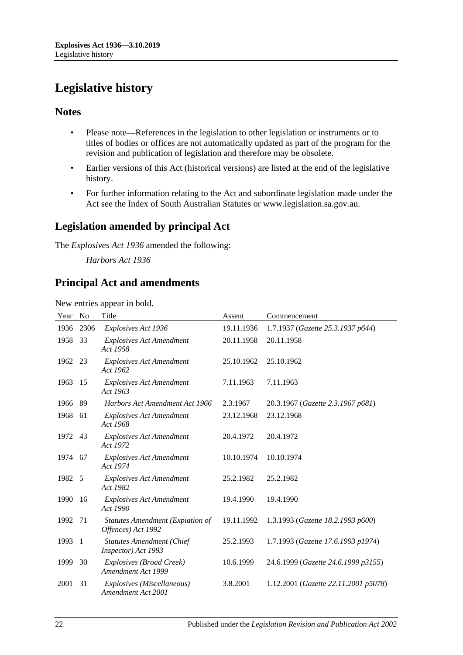# <span id="page-21-0"></span>**Legislative history**

# **Notes**

- Please note—References in the legislation to other legislation or instruments or to titles of bodies or offices are not automatically updated as part of the program for the revision and publication of legislation and therefore may be obsolete.
- Earlier versions of this Act (historical versions) are listed at the end of the legislative history.
- For further information relating to the Act and subordinate legislation made under the Act see the Index of South Australian Statutes or www.legislation.sa.gov.au.

# **Legislation amended by principal Act**

The *Explosives Act 1936* amended the following:

*Harbors Act 1936*

# **Principal Act and amendments**

New entries appear in bold.

| Year    | No   | Title                                                         | Assent     | Commencement                         |
|---------|------|---------------------------------------------------------------|------------|--------------------------------------|
| 1936    | 2306 | Explosives Act 1936                                           | 19.11.1936 | 1.7.1937 (Gazette 25.3.1937 p644)    |
| 1958    | 33   | <b>Explosives Act Amendment</b><br>Act 1958                   | 20.11.1958 | 20.11.1958                           |
| 1962 23 |      | <b>Explosives Act Amendment</b><br>Act 1962                   | 25.10.1962 | 25.10.1962                           |
| 1963    | -15  | <b>Explosives Act Amendment</b><br>Act 1963                   | 7.11.1963  | 7.11.1963                            |
| 1966    | 89   | Harbors Act Amendment Act 1966                                | 2.3.1967   | 20.3.1967 (Gazette 2.3.1967 p681)    |
| 1968    | 61   | <b>Explosives Act Amendment</b><br>Act 1968                   | 23.12.1968 | 23.12.1968                           |
| 1972    | 43   | <b>Explosives Act Amendment</b><br>Act 1972                   | 20.4.1972  | 20.4.1972                            |
| 1974 67 |      | <b>Explosives Act Amendment</b><br>Act 1974                   | 10.10.1974 | 10.10.1974                           |
| 1982    | - 5  | <b>Explosives Act Amendment</b><br>Act 1982                   | 25.2.1982  | 25.2.1982                            |
| 1990    | -16  | <b>Explosives Act Amendment</b><br>Act 1990                   | 19.4.1990  | 19.4.1990                            |
| 1992    | 71   | <b>Statutes Amendment (Expiation of</b><br>Offences) Act 1992 | 19.11.1992 | 1.3.1993 (Gazette 18.2.1993 p600)    |
| 1993    | -1   | <b>Statutes Amendment (Chief</b><br>Inspector) Act 1993       | 25.2.1993  | 1.7.1993 (Gazette 17.6.1993 p1974)   |
| 1999    | 30   | Explosives (Broad Creek)<br>Amendment Act 1999                | 10.6.1999  | 24.6.1999 (Gazette 24.6.1999 p3155)  |
| 2001    | 31   | Explosives (Miscellaneous)<br>Amendment Act 2001              | 3.8.2001   | 1.12.2001 (Gazette 22.11.2001 p5078) |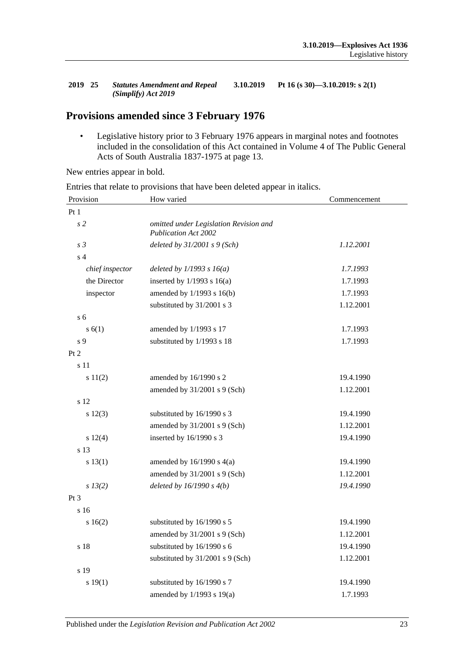#### **2019 25** *Statutes Amendment and Repeal (Simplify) Act 2019* **3.10.2019 Pt 16 (s 30)—3.10.2019: s 2(1)**

# **Provisions amended since 3 February 1976**

• Legislative history prior to 3 February 1976 appears in marginal notes and footnotes included in the consolidation of this Act contained in Volume 4 of The Public General Acts of South Australia 1837-1975 at page 13.

New entries appear in bold.

| Provision       | How varied                                                            | Commencement |  |
|-----------------|-----------------------------------------------------------------------|--------------|--|
| Pt <sub>1</sub> |                                                                       |              |  |
| s <sub>2</sub>  | omitted under Legislation Revision and<br><b>Publication Act 2002</b> |              |  |
| s <sub>3</sub>  | deleted by $31/2001$ s $9$ (Sch)                                      | 1.12.2001    |  |
| s <sub>4</sub>  |                                                                       |              |  |
| chief inspector | deleted by $1/1993 s 16(a)$                                           | 1.7.1993     |  |
| the Director    | inserted by $1/1993$ s $16(a)$                                        | 1.7.1993     |  |
| inspector       | amended by 1/1993 s 16(b)                                             | 1.7.1993     |  |
|                 | substituted by 31/2001 s 3                                            | 1.12.2001    |  |
| s <sub>6</sub>  |                                                                       |              |  |
| s(6(1))         | amended by 1/1993 s 17                                                | 1.7.1993     |  |
| s 9             | substituted by 1/1993 s 18                                            | 1.7.1993     |  |
| Pt 2            |                                                                       |              |  |
| s 11            |                                                                       |              |  |
| s 11(2)         | amended by 16/1990 s 2                                                | 19.4.1990    |  |
|                 | amended by 31/2001 s 9 (Sch)                                          | 1.12.2001    |  |
| s 12            |                                                                       |              |  |
| s 12(3)         | substituted by 16/1990 s 3                                            | 19.4.1990    |  |
|                 | amended by 31/2001 s 9 (Sch)                                          | 1.12.2001    |  |
| s 12(4)         | inserted by 16/1990 s 3                                               | 19.4.1990    |  |
| s 13            |                                                                       |              |  |
| s 13(1)         | amended by $16/1990$ s $4(a)$                                         | 19.4.1990    |  |
|                 | amended by 31/2001 s 9 (Sch)                                          | 1.12.2001    |  |
| s 13(2)         | deleted by $16/1990 s 4(b)$                                           | 19.4.1990    |  |
| Pt <sub>3</sub> |                                                                       |              |  |
| s 16            |                                                                       |              |  |
| s 16(2)         | substituted by 16/1990 s 5                                            | 19.4.1990    |  |
|                 | amended by 31/2001 s 9 (Sch)                                          | 1.12.2001    |  |
| s 18            | substituted by 16/1990 s 6                                            | 19.4.1990    |  |
|                 | substituted by 31/2001 s 9 (Sch)                                      | 1.12.2001    |  |
| s 19            |                                                                       |              |  |
| s 19(1)         | substituted by 16/1990 s 7                                            | 19.4.1990    |  |
|                 | amended by 1/1993 s 19(a)                                             | 1.7.1993     |  |

Entries that relate to provisions that have been deleted appear in italics.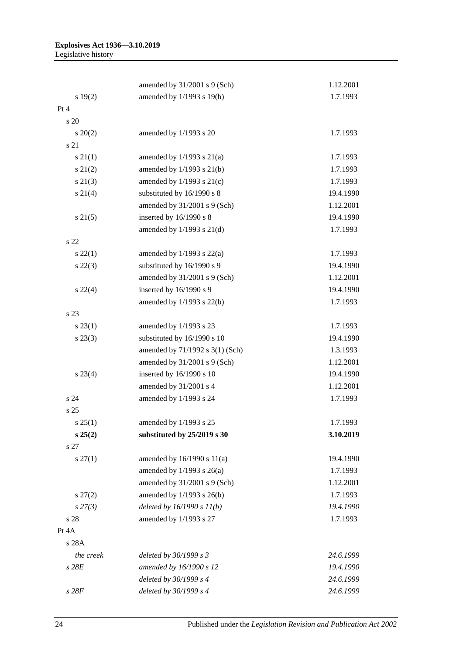|                 | amended by 31/2001 s 9 (Sch)    | 1.12.2001 |
|-----------------|---------------------------------|-----------|
| s 19(2)         | amended by 1/1993 s 19(b)       | 1.7.1993  |
| Pt 4            |                                 |           |
| s 20            |                                 |           |
| $s \ 20(2)$     | amended by 1/1993 s 20          | 1.7.1993  |
| s 21            |                                 |           |
| $s \, 21(1)$    | amended by $1/1993$ s $21(a)$   | 1.7.1993  |
| $s\ 21(2)$      | amended by 1/1993 s 21(b)       | 1.7.1993  |
| $s\ 21(3)$      | amended by $1/1993$ s $21(c)$   | 1.7.1993  |
| $s \ 21(4)$     | substituted by 16/1990 s 8      | 19.4.1990 |
|                 | amended by $31/2001$ s 9 (Sch)  | 1.12.2001 |
| $s \, 21(5)$    | inserted by 16/1990 s 8         | 19.4.1990 |
|                 | amended by $1/1993$ s $21(d)$   | 1.7.1993  |
| s <sub>22</sub> |                                 |           |
| $s\ 22(1)$      | amended by $1/1993$ s $22(a)$   | 1.7.1993  |
| $s\ 22(3)$      | substituted by 16/1990 s 9      | 19.4.1990 |
|                 | amended by 31/2001 s 9 (Sch)    | 1.12.2001 |
| $s\ 22(4)$      | inserted by 16/1990 s 9         | 19.4.1990 |
|                 | amended by 1/1993 s 22(b)       | 1.7.1993  |
| s 23            |                                 |           |
| $s\,23(1)$      | amended by 1/1993 s 23          | 1.7.1993  |
| $s\,23(3)$      | substituted by 16/1990 s 10     | 19.4.1990 |
|                 | amended by 71/1992 s 3(1) (Sch) | 1.3.1993  |
|                 | amended by 31/2001 s 9 (Sch)    | 1.12.2001 |
| $s\,23(4)$      | inserted by 16/1990 s 10        | 19.4.1990 |
|                 | amended by 31/2001 s 4          | 1.12.2001 |
| s 24            | amended by 1/1993 s 24          | 1.7.1993  |
| s 25            |                                 |           |
| s 25(1)         | amended by 1/1993 s 25          | 1.7.1993  |
| s 25(2)         | substituted by 25/2019 s 30     | 3.10.2019 |
| s 27            |                                 |           |
| $s \, 27(1)$    | amended by $16/1990$ s $11(a)$  | 19.4.1990 |
|                 | amended by $1/1993$ s $26(a)$   | 1.7.1993  |
|                 | amended by 31/2001 s 9 (Sch)    | 1.12.2001 |
| $s\,27(2)$      | amended by 1/1993 s 26(b)       | 1.7.1993  |
| $s\,27(3)$      | deleted by $16/1990 s 11(b)$    | 19.4.1990 |
| s 28            | amended by 1/1993 s 27          | 1.7.1993  |
| Pt 4A           |                                 |           |
| s 28A           |                                 |           |
| the creek       | deleted by 30/1999 s 3          | 24.6.1999 |
| $s$ 28 $E$      | amended by 16/1990 s 12         | 19.4.1990 |
|                 | deleted by 30/1999 s 4          | 24.6.1999 |
| $s$ 28 $F$      | deleted by 30/1999 s 4          | 24.6.1999 |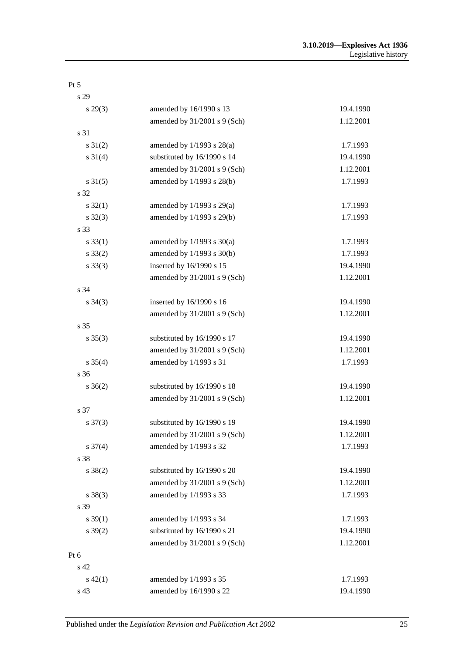| s 29                |                                |           |
|---------------------|--------------------------------|-----------|
| $s\,29(3)$          | amended by 16/1990 s 13        | 19.4.1990 |
|                     | amended by 31/2001 s 9 (Sch)   | 1.12.2001 |
| s 31                |                                |           |
| $s \, 31(2)$        | amended by $1/1993$ s $28(a)$  | 1.7.1993  |
| $s \ 31(4)$         | substituted by 16/1990 s 14    | 19.4.1990 |
|                     | amended by 31/2001 s 9 (Sch)   | 1.12.2001 |
| $s \, 31(5)$        | amended by 1/1993 s 28(b)      | 1.7.1993  |
| s 32                |                                |           |
| $s \, 32(1)$        | amended by $1/1993$ s $29(a)$  | 1.7.1993  |
| $s \, 32(3)$        | amended by 1/1993 s 29(b)      | 1.7.1993  |
| s 33                |                                |           |
| $s \, 33(1)$        | amended by $1/1993$ s $30(a)$  | 1.7.1993  |
| $s \, 33(2)$        | amended by 1/1993 s 30(b)      | 1.7.1993  |
| $s \, 33(3)$        | inserted by 16/1990 s 15       | 19.4.1990 |
|                     | amended by 31/2001 s 9 (Sch)   | 1.12.2001 |
| s 34                |                                |           |
| $s \; 34(3)$        | inserted by 16/1990 s 16       | 19.4.1990 |
|                     | amended by $31/2001$ s 9 (Sch) | 1.12.2001 |
| s 35                |                                |           |
| $s \; 35(3)$        | substituted by 16/1990 s 17    | 19.4.1990 |
|                     | amended by 31/2001 s 9 (Sch)   | 1.12.2001 |
| $s \; 35(4)$        | amended by 1/1993 s 31         | 1.7.1993  |
| s 36                |                                |           |
| $s \; 36(2)$        | substituted by 16/1990 s 18    | 19.4.1990 |
|                     | amended by 31/2001 s 9 (Sch)   | 1.12.2001 |
| s 37                |                                |           |
| $s \frac{37(3)}{2}$ | substituted by 16/1990 s 19    | 19.4.1990 |
|                     | amended by 31/2001 s 9 (Sch)   | 1.12.2001 |
| $s \frac{37(4)}{2}$ | amended by 1/1993 s 32         | 1.7.1993  |
| s 38                |                                |           |
| $s \ 38(2)$         | substituted by 16/1990 s 20    | 19.4.1990 |
|                     | amended by 31/2001 s 9 (Sch)   | 1.12.2001 |
| $s \ 38(3)$         | amended by 1/1993 s 33         | 1.7.1993  |
| s 39                |                                |           |
| $s \, 39(1)$        | amended by 1/1993 s 34         | 1.7.1993  |
| $s \, 39(2)$        | substituted by 16/1990 s 21    | 19.4.1990 |
|                     | amended by 31/2001 s 9 (Sch)   | 1.12.2001 |
| Pt 6                |                                |           |
| s 42                |                                |           |
| $s\ 42(1)$          | amended by 1/1993 s 35         | 1.7.1993  |
| s 43                | amended by 16/1990 s 22        | 19.4.1990 |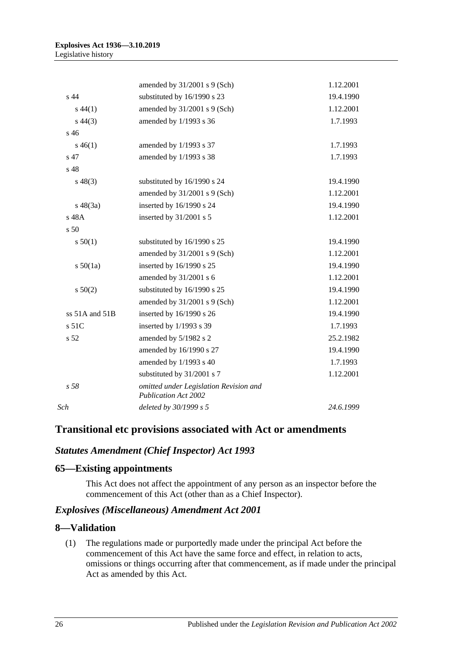|                 | amended by $31/2001$ s 9 (Sch)                                        | 1.12.2001 |
|-----------------|-----------------------------------------------------------------------|-----------|
| s <sub>44</sub> | substituted by 16/1990 s 23                                           | 19.4.1990 |
| $s\,44(1)$      | amended by 31/2001 s 9 (Sch)                                          | 1.12.2001 |
| $s\,44(3)$      | amended by 1/1993 s 36                                                | 1.7.1993  |
| s 46            |                                                                       |           |
| $s\,46(1)$      | amended by 1/1993 s 37                                                | 1.7.1993  |
| s 47            | amended by 1/1993 s 38                                                | 1.7.1993  |
| s 48            |                                                                       |           |
| $s\,48(3)$      | substituted by 16/1990 s 24                                           | 19.4.1990 |
|                 | amended by $31/2001$ s 9 (Sch)                                        | 1.12.2001 |
| $s\ 48(3a)$     | inserted by 16/1990 s 24                                              | 19.4.1990 |
| s 48A           | inserted by 31/2001 s 5                                               | 1.12.2001 |
| s 50            |                                                                       |           |
| s 50(1)         | substituted by 16/1990 s 25                                           | 19.4.1990 |
|                 | amended by $31/2001$ s 9 (Sch)                                        | 1.12.2001 |
| s 50(1a)        | inserted by 16/1990 s 25                                              | 19.4.1990 |
|                 | amended by 31/2001 s 6                                                | 1.12.2001 |
| s 50(2)         | substituted by 16/1990 s 25                                           | 19.4.1990 |
|                 | amended by 31/2001 s 9 (Sch)                                          | 1.12.2001 |
| ss 51A and 51B  | inserted by 16/1990 s 26                                              | 19.4.1990 |
| s 51C           | inserted by 1/1993 s 39                                               | 1.7.1993  |
| s 52            | amended by 5/1982 s 2                                                 | 25.2.1982 |
|                 | amended by 16/1990 s 27                                               | 19.4.1990 |
|                 | amended by 1/1993 s 40                                                | 1.7.1993  |
|                 | substituted by 31/2001 s 7                                            | 1.12.2001 |
| s <sub>58</sub> | omitted under Legislation Revision and<br><b>Publication Act 2002</b> |           |
| Sch             | deleted by 30/1999 s 5                                                | 24.6.1999 |

# **Transitional etc provisions associated with Act or amendments**

# *Statutes Amendment (Chief Inspector) Act 1993*

#### **65—Existing appointments**

This Act does not affect the appointment of any person as an inspector before the commencement of this Act (other than as a Chief Inspector).

### *Explosives (Miscellaneous) Amendment Act 2001*

#### **8—Validation**

(1) The regulations made or purportedly made under the principal Act before the commencement of this Act have the same force and effect, in relation to acts, omissions or things occurring after that commencement, as if made under the principal Act as amended by this Act.